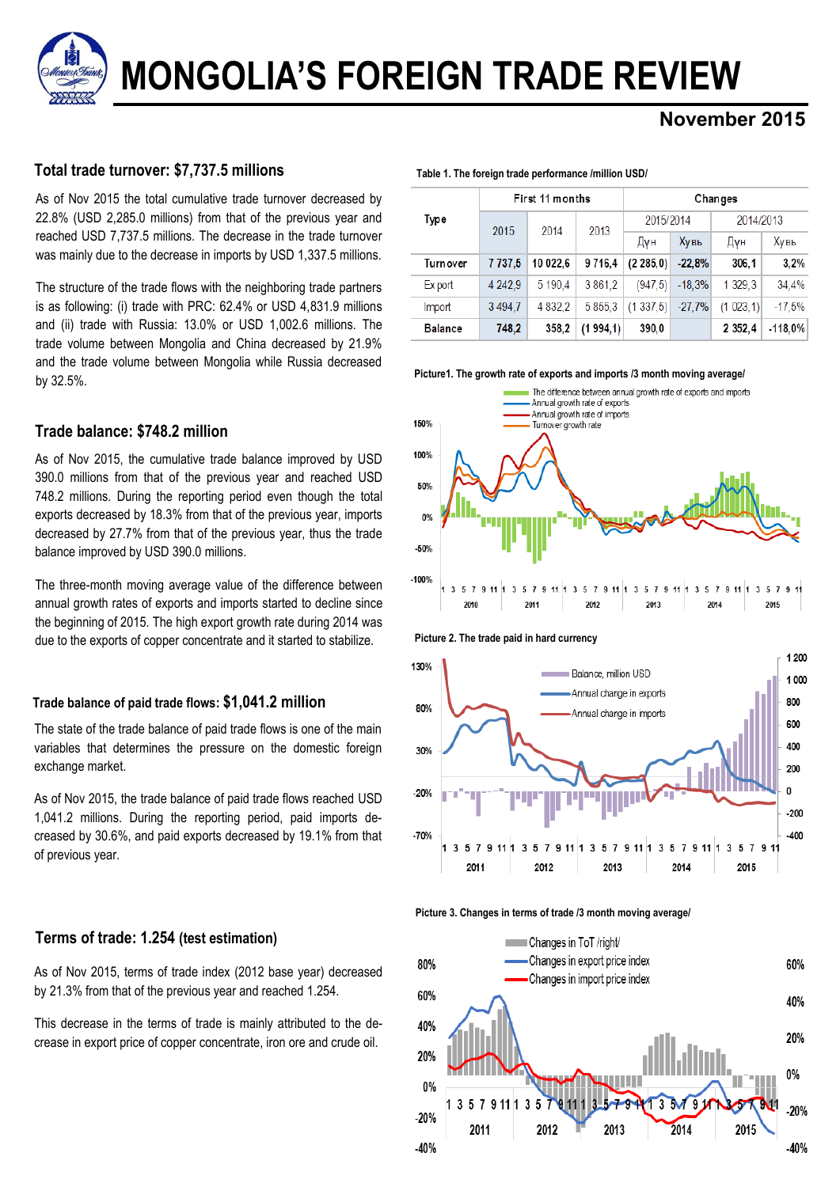**MONGOLIA'S FOREIGN TRADE REVIEW**

# **November 2015**

# **Total trade turnover: \$7,737.5 millions**

As of Nov 2015 the total cumulative trade turnover decreased by 22.8% (USD 2,285.0 millions) from that of the previous year and reached USD 7,737.5 millions. The decrease in the trade turnover was mainly due to the decrease in imports by USD 1,337.5 millions.

The structure of the trade flows with the neighboring trade partners is as following: (i) trade with PRC: 62.4% or USD 4,831.9 millions and (ii) trade with Russia: 13.0% or USD 1,002.6 millions. The trade volume between Mongolia and China decreased by 21.9% and the trade volume between Mongolia while Russia decreased by 32.5%.

# **Trade balance: \$748.2 million**

As of Nov 2015, the cumulative trade balance improved by USD 390.0 millions from that of the previous year and reached USD 748.2 millions. During the reporting period even though the total exports decreased by 18.3% from that of the previous year, imports decreased by 27.7% from that of the previous year, thus the trade balance improved by USD 390.0 millions.

The three-month moving average value of the difference between annual growth rates of exports and imports started to decline since the beginning of 2015. The high export growth rate during 2014 was due to the exports of copper concentrate and it started to stabilize.

# **Trade balance of paid trade flows: \$1,041.2 million**

The state of the trade balance of paid trade flows is one of the main variables that determines the pressure on the domestic foreign exchange market.

As of Nov 2015, the trade balance of paid trade flows reached USD 1,041.2 millions. During the reporting period, paid imports decreased by 30.6%, and paid exports decreased by 19.1% from that of previous year.

# **Terms of trade: 1.254 (test estimation)**

As of Nov 2015, terms of trade index (2012 base year) decreased by 21.3% from that of the previous year and reached 1.254.

This decrease in the terms of trade is mainly attributed to the decrease in export price of copper concentrate, iron ore and crude oil.

| Table 1. The foreign trade performance /million USD/ |  |  |  |  |  |  |
|------------------------------------------------------|--|--|--|--|--|--|
|------------------------------------------------------|--|--|--|--|--|--|

|                |         | First 11 months |          | Changes   |          |             |            |  |  |
|----------------|---------|-----------------|----------|-----------|----------|-------------|------------|--|--|
| Type           | 2015    | 2014            | 2013     | 2015/2014 |          | 2014/2013   |            |  |  |
|                |         |                 |          | Дун       | Хувь     | Дун         | Хувь       |  |  |
| Turnover       | 7737.5  | 10 022.6        | 9716.4   | (2285.0)  | $-22.8%$ | 306.1       | 3.2%       |  |  |
| Ex port        | 4 242.9 | 5 190.4         | 3861.2   | (947.5)   | $-18.3%$ | 1 329.3     | 34.4%      |  |  |
| Import         | 3494.7  | 4 8 3 2.2       | 5855.3   | (1337.5)  | $-27.7%$ | (1023, 1)   | $-17.5%$   |  |  |
| <b>Balance</b> | 748,2   | 358,2           | (1994,1) | 390,0     |          | 2 3 5 2 . 4 | $-118.0\%$ |  |  |

**Picture1. The growth rate of exports and imports /3 month moving average/**









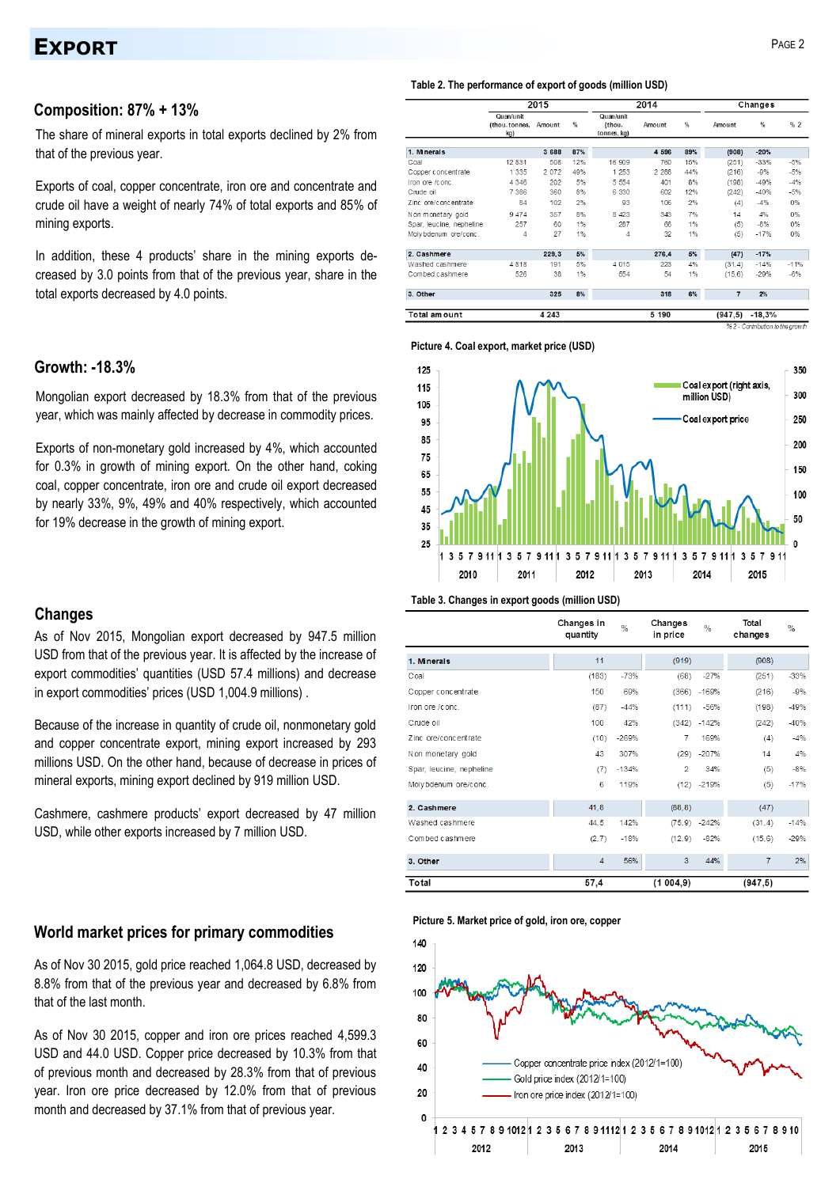# **EXPORT** PAGE 2

### **Composition: 87% + 13%**

The share of mineral exports in total exports declined by 2% from that of the previous year.

Exports of coal, copper concentrate, iron ore and concentrate and crude oil have a weight of nearly 74% of total exports and 85% of mining exports.

In addition, these 4 products' share in the mining exports decreased by 3.0 points from that of the previous year, share in the total exports decreased by 4.0 points.

# **Growth: -18.3%**

Mongolian export decreased by 18.3% from that of the previous year, which was mainly affected by decrease in commodity prices.

Exports of non-monetary gold increased by 4%, which accounted for 0.3% in growth of mining export. On the other hand, coking coal, copper concentrate, iron ore and crude oil export decreased by nearly 33%, 9%, 49% and 40% respectively, which accounted for 19% decrease in the growth of mining export.

### **Changes**

As of Nov 2015, Mongolian export decreased by 947.5 million USD from that of the previous year. It is affected by the increase of export commodities' quantities (USD 57.4 millions) and decrease in export commodities' prices (USD 1,004.9 millions) .

Because of the increase in quantity of crude oil, nonmonetary gold and copper concentrate export, mining export increased by 293 millions USD. On the other hand, because of decrease in prices of mineral exports, mining export declined by 919 million USD.

Cashmere, cashmere products' export decreased by 47 million USD, while other exports increased by 7 million USD.

### **World market prices for primary commodities**

As of Nov 30 2015, gold price reached 1,064.8 USD, decreased by 8.8% from that of the previous year and decreased by 6.8% from that of the last month.

As of Nov 30 2015, copper and iron ore prices reached 4,599.3 USD and 44.0 USD. Copper price decreased by 10.3% from that of previous month and decreased by 28.3% from that of previous year. Iron ore price decreased by 12.0% from that of previous month and decreased by 37.1% from that of previous year.

#### **Table 2. The performance of export of goods (million USD)**

|                          | 2015                              |         |     |                                    | 2014    | Changes |         |               |        |
|--------------------------|-----------------------------------|---------|-----|------------------------------------|---------|---------|---------|---------------|--------|
|                          | Quan/unit<br>(thou.tonnes,<br>kg) | Amount  | %   | Quan/unit<br>(thou.<br>tonnes, kg) | Amount  | %       | Amount  | $\frac{9}{6}$ | % 2    |
| 1. Minerals              |                                   | 3 688   | 87% |                                    | 4 5 9 6 | 89%     | (908)   | $-20%$        |        |
| Coal                     | 12 8 31                           | 508     | 12% | 16 909                             | 760     | 15%     | (251)   | $-33%$        | $-5%$  |
| Copper concentrate       | 1 3 3 5                           | 2 0 7 2 | 49% | 1 253                              | 2 2 8 8 | 44%     | (216)   | $-9%$         | $-5%$  |
| Iron ore /conc.          | 4 3 4 6                           | 202     | 5%  | 5 5 5 4                            | 401     | 8%      | (198)   | $-49%$        | $-4%$  |
| Crude oil                | 7 3 8 6                           | 360     | 8%  | 6 3 3 0                            | 602     | 12%     | (242)   | $-40%$        | $-5%$  |
| Zinc ore/concentrate     | 84                                | 102     | 2%  | 93                                 | 106     | 2%      | (4)     | $-4%$         | 0%     |
| Non monetary gold        | 9474                              | 357     | 8%  | 8 4 2 3                            | 343     | 7%      | 14      | 4%            | $0\%$  |
| Spar, leucine, nepheline | 257                               | 60      | 1%  | 287                                | 66      | 1%      | (5)     | $-8%$         | 0%     |
| Moly bdenum ore/conc.    | 4                                 | 27      | 1%  | 4                                  | 32      | 1%      | (5)     | $-17%$        | $0\%$  |
| 2. Cashmere              |                                   | 229,3   | 5%  |                                    | 276,4   | 5%      | (47)    | $-17%$        |        |
| Washed cashmere          | 4818                              | 191     | 5%  | 4 0 1 5                            | 223     | 4%      | (31, 4) | $-14%$        | $-11%$ |
| Combed cashmere          | 526                               | 38      | 1%  | 554                                | 54      | 1%      | (15, 6) | $-29%$        | $-6%$  |
| 3. Other                 |                                   | 325     | 8%  |                                    | 318     | G%      | 7       | 2%            |        |
| Total amount             |                                   | 4 2 4 3 |     |                                    | 5 190   |         | (947.5) | $-18,3%$      |        |
|                          | % 2 - Contribution to the arowth  |         |     |                                    |         |         |         |               |        |

**Picture 4. Coal export, market price (USD)**



#### **Table 3. Changes in export goods (million USD)**

|                          | Changes in<br>quantity | $\frac{0}{6}$ | Changes<br>in price | $\%$            | Total<br>changes | $\%$   |
|--------------------------|------------------------|---------------|---------------------|-----------------|------------------|--------|
| 1. Minerals              | 11                     |               | (919)               |                 | (908)            |        |
| Coal                     | (183)                  | $-73%$        | (68)                | $-27%$          | (251)            | $-33%$ |
| Copper concentrate       | 150                    | 69%           | (366)               | $-169%$         | (216)            | $-9%$  |
| Iron ore /conc.          | (87)                   | $-44%$        | (111)               | $-56%$          | (198)            | $-49%$ |
| Crude oil                | 100                    | 42%           |                     | $(342) -142%$   | (242)            | $-40%$ |
| Zinc ore/concentrate     | (10)                   | $-269%$       | 7                   | 169%            | (4)              | $-4%$  |
| Non monetary gold        | 43                     | 307%          | (29)                | $-207%$         | 14               | 4%     |
| Spar, leucine, nepheline | (7)                    | $-134%$       | $\overline{2}$      | 34%             | (5)              | $-8%$  |
| Moly bdenum ore/conc.    | 6                      | 119%          |                     | $(12) -219%$    | (5)              | $-17%$ |
| 2. Cashmere              | 41,8                   |               | (88, 8)             |                 | (47)             |        |
| Washed cashmere          | 44.5                   | 142%          |                     | $(75, 9) -242%$ | (31, 4)          | $-14%$ |
| Combed cashmere          | (2, 7)                 | $-18%$        | (12, 9)             | $-82%$          | (15, 6)          | $-29%$ |
| 3. Other                 | $\overline{4}$         | 56%           | 3                   | 44%             | $\overline{7}$   | 2%     |
| Total                    | 57,4                   |               | (1004, 9)           |                 | (947, 5)         |        |

#### **Picture 5. Market price of gold, iron ore, copper**